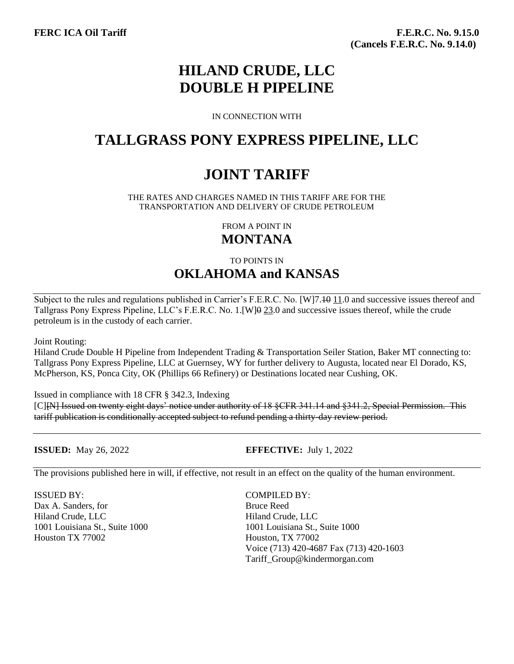# **HILAND CRUDE, LLC DOUBLE H PIPELINE**

IN CONNECTION WITH

### **TALLGRASS PONY EXPRESS PIPELINE, LLC**

# **JOINT TARIFF**

THE RATES AND CHARGES NAMED IN THIS TARIFF ARE FOR THE TRANSPORTATION AND DELIVERY OF CRUDE PETROLEUM

> FROM A POINT IN **MONTANA**

TO POINTS IN **OKLAHOMA and KANSAS**

Subject to the rules and regulations published in Carrier's F.E.R.C. No. [W]7.<del>10</del> 11.0 and successive issues thereof and Tallgrass Pony Express Pipeline, LLC's F.E.R.C. No. 1.[W]0 23.0 and successive issues thereof, while the crude petroleum is in the custody of each carrier.

Joint Routing:

Hiland Crude Double H Pipeline from Independent Trading & Transportation Seiler Station, Baker MT connecting to: Tallgrass Pony Express Pipeline, LLC at Guernsey, WY for further delivery to Augusta, located near El Dorado, KS, McPherson, KS, Ponca City, OK (Phillips 66 Refinery) or Destinations located near Cushing, OK.

Issued in compliance with 18 CFR § 342.3, Indexing

[C][N] Issued on twenty eight days' notice under authority of 18 §CFR 341.14 and §341.2, Special Permission. This tariff publication is conditionally accepted subject to refund pending a thirty-day review period.

**ISSUED:** May 26, 2022 **EFFECTIVE:** July 1, 2022

The provisions published here in will, if effective, not result in an effect on the quality of the human environment.

ISSUED BY: COMPILED BY: Dax A. Sanders, for Bruce Reed Hiland Crude, LLC Hiland Crude, LLC Houston TX 77002 Houston, TX 77002

1001 Louisiana St., Suite 1000 1001 Louisiana St., Suite 1000 Voice (713) 420-4687 Fax (713) 420-1603 Tariff\_Group@kindermorgan.com